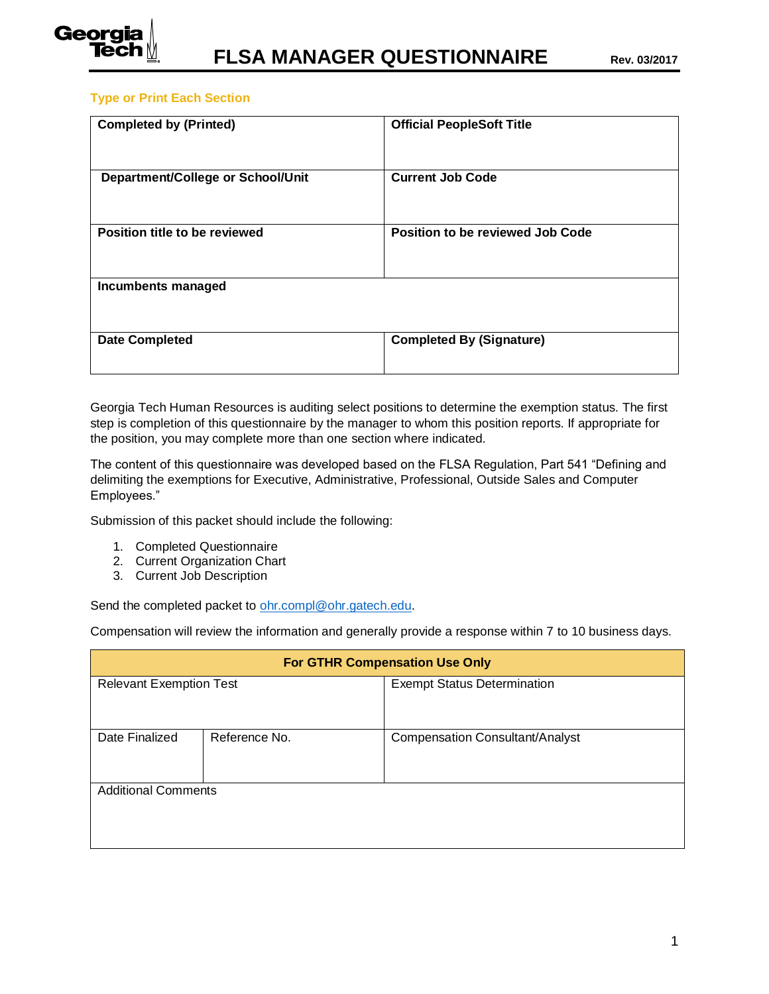

## **Type or Print Each Section**

| <b>Completed by (Printed)</b>     | <b>Official PeopleSoft Title</b>        |
|-----------------------------------|-----------------------------------------|
| Department/College or School/Unit | <b>Current Job Code</b>                 |
| Position title to be reviewed     | <b>Position to be reviewed Job Code</b> |
| Incumbents managed                |                                         |
| <b>Date Completed</b>             | <b>Completed By (Signature)</b>         |

Georgia Tech Human Resources is auditing select positions to determine the exemption status. The first step is completion of this questionnaire by the manager to whom this position reports. If appropriate for the position, you may complete more than one section where indicated.

The content of this questionnaire was developed based on the FLSA Regulation, Part 541 "Defining and delimiting the exemptions for Executive, Administrative, Professional, Outside Sales and Computer Employees."

Submission of this packet should include the following:

- 1. Completed Questionnaire
- 2. Current Organization Chart
- 3. Current Job Description

Send the completed packet to [ohr.compl@ohr.gatech.edu.](mailto:ohr.compl@ohr.gatech.edu)

Compensation will review the information and generally provide a response within 7 to 10 business days.

| <b>For GTHR Compensation Use Only</b> |  |                                        |  |  |
|---------------------------------------|--|----------------------------------------|--|--|
| <b>Relevant Exemption Test</b>        |  | <b>Exempt Status Determination</b>     |  |  |
|                                       |  |                                        |  |  |
| Date Finalized<br>Reference No.       |  | <b>Compensation Consultant/Analyst</b> |  |  |
|                                       |  |                                        |  |  |
| <b>Additional Comments</b>            |  |                                        |  |  |
|                                       |  |                                        |  |  |
|                                       |  |                                        |  |  |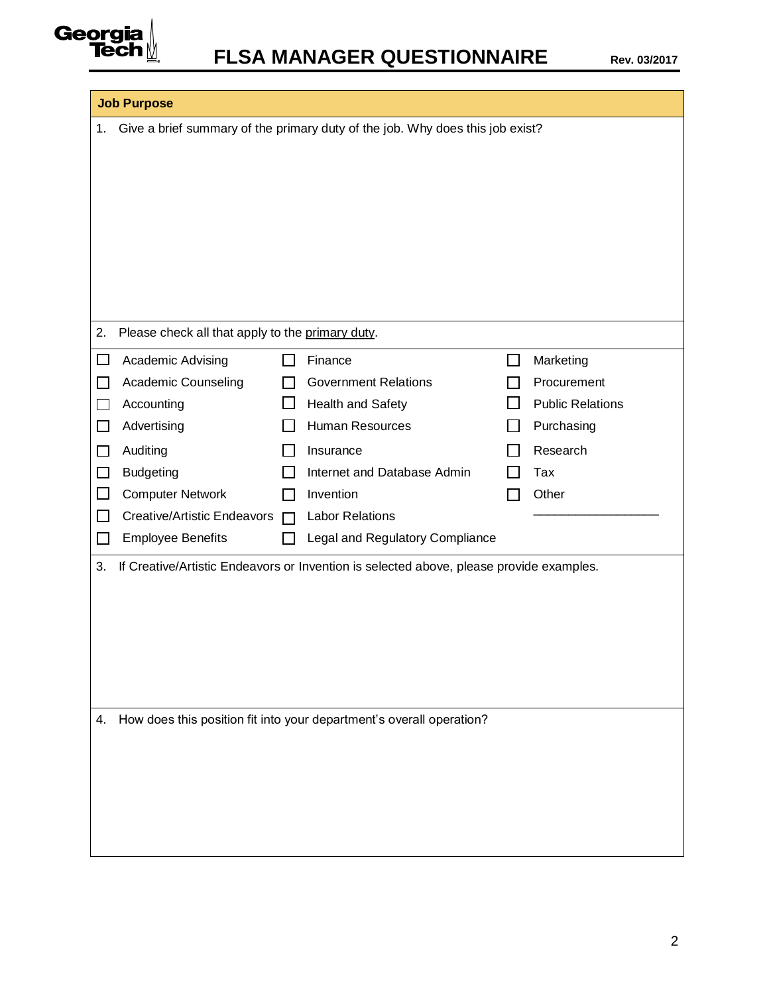

|              | <b>Job Purpose</b>                                                            |  |                                                                                         |        |                         |  |
|--------------|-------------------------------------------------------------------------------|--|-----------------------------------------------------------------------------------------|--------|-------------------------|--|
| 1.           | Give a brief summary of the primary duty of the job. Why does this job exist? |  |                                                                                         |        |                         |  |
|              |                                                                               |  |                                                                                         |        |                         |  |
|              |                                                                               |  |                                                                                         |        |                         |  |
|              |                                                                               |  |                                                                                         |        |                         |  |
|              |                                                                               |  |                                                                                         |        |                         |  |
|              |                                                                               |  |                                                                                         |        |                         |  |
|              |                                                                               |  |                                                                                         |        |                         |  |
| 2.           | Please check all that apply to the primary duty.                              |  |                                                                                         |        |                         |  |
| $\Box$       | Academic Advising                                                             |  | Finance                                                                                 | $\sim$ | Marketing               |  |
|              | Academic Counseling                                                           |  | <b>Government Relations</b>                                                             |        | Procurement             |  |
|              | Accounting                                                                    |  | Health and Safety                                                                       |        | <b>Public Relations</b> |  |
| ∟ l          | Advertising                                                                   |  | Human Resources                                                                         |        | Purchasing              |  |
|              | Auditing                                                                      |  | Insurance                                                                               |        | Research                |  |
| $\mathbf{I}$ | <b>Budgeting</b>                                                              |  | Internet and Database Admin                                                             |        | Tax                     |  |
|              | <b>Computer Network</b>                                                       |  | Invention                                                                               |        | Other                   |  |
|              | Creative/Artistic Endeavors □                                                 |  | <b>Labor Relations</b>                                                                  |        |                         |  |
| $\mathsf{L}$ | <b>Employee Benefits</b>                                                      |  | Legal and Regulatory Compliance                                                         |        |                         |  |
| 3.           |                                                                               |  | If Creative/Artistic Endeavors or Invention is selected above, please provide examples. |        |                         |  |
|              |                                                                               |  |                                                                                         |        |                         |  |
|              |                                                                               |  |                                                                                         |        |                         |  |
|              |                                                                               |  |                                                                                         |        |                         |  |
|              |                                                                               |  |                                                                                         |        |                         |  |
|              |                                                                               |  |                                                                                         |        |                         |  |
| 4.           |                                                                               |  | How does this position fit into your department's overall operation?                    |        |                         |  |
|              |                                                                               |  |                                                                                         |        |                         |  |
|              |                                                                               |  |                                                                                         |        |                         |  |
|              |                                                                               |  |                                                                                         |        |                         |  |
|              |                                                                               |  |                                                                                         |        |                         |  |
|              |                                                                               |  |                                                                                         |        |                         |  |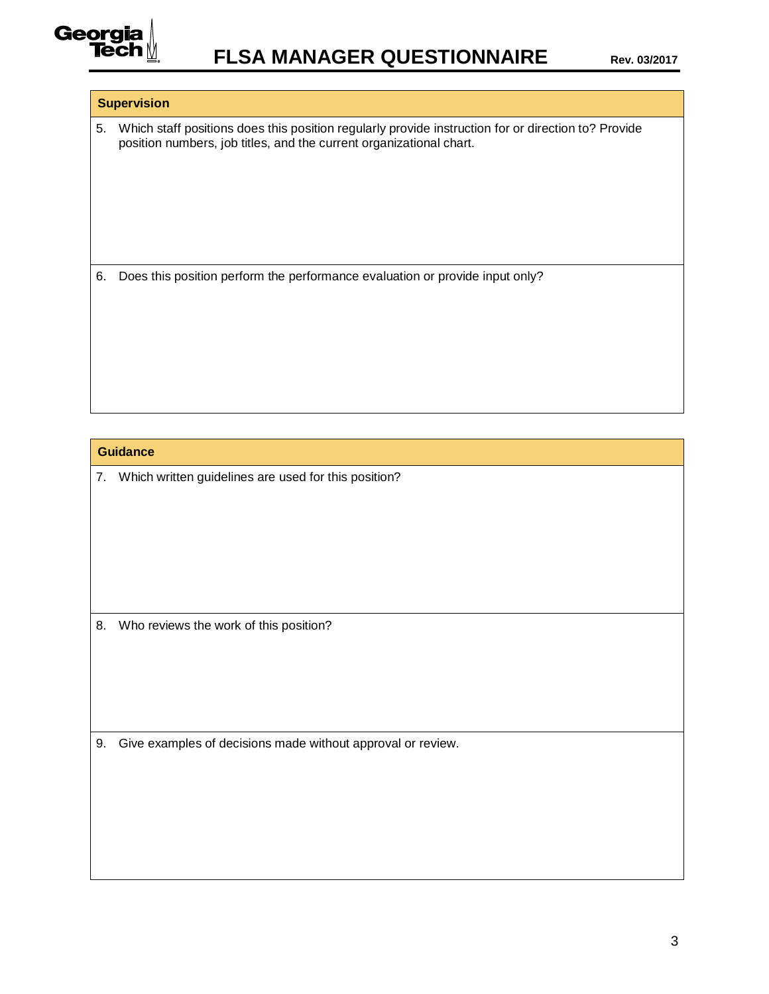

## **Supervision**

5. Which staff positions does this position regularly provide instruction for or direction to? Provide position numbers, job titles, and the current organizational chart.

6. Does this position perform the performance evaluation or provide input only?

## **Guidance**

7. Which written guidelines are used for this position?

8. Who reviews the work of this position?

9. Give examples of decisions made without approval or review.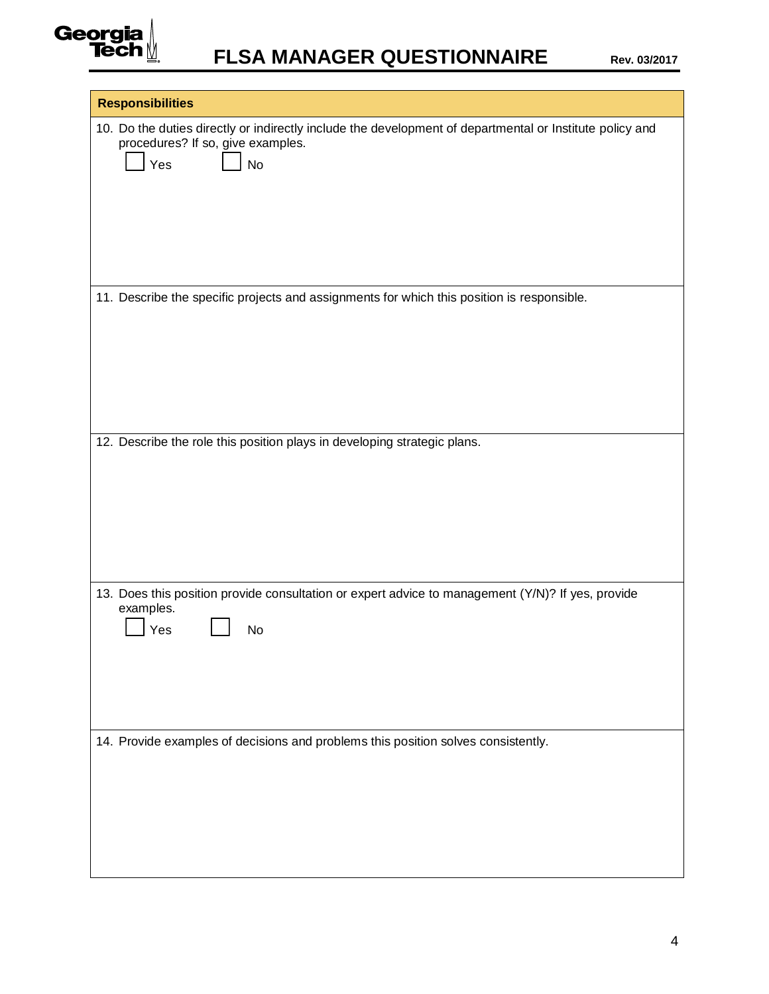

| <b>Responsibilities</b>                                                                                                                                                   |
|---------------------------------------------------------------------------------------------------------------------------------------------------------------------------|
| 10. Do the duties directly or indirectly include the development of departmental or Institute policy and<br>procedures? If so, give examples.<br>$\vert$ Yes<br><b>No</b> |
| 11. Describe the specific projects and assignments for which this position is responsible.                                                                                |
|                                                                                                                                                                           |
| 12. Describe the role this position plays in developing strategic plans.                                                                                                  |
|                                                                                                                                                                           |
| 13. Does this position provide consultation or expert advice to management (Y/N)? If yes, provide<br>examples.                                                            |
| Yes<br>No                                                                                                                                                                 |
|                                                                                                                                                                           |
| 14. Provide examples of decisions and problems this position solves consistently.                                                                                         |
|                                                                                                                                                                           |